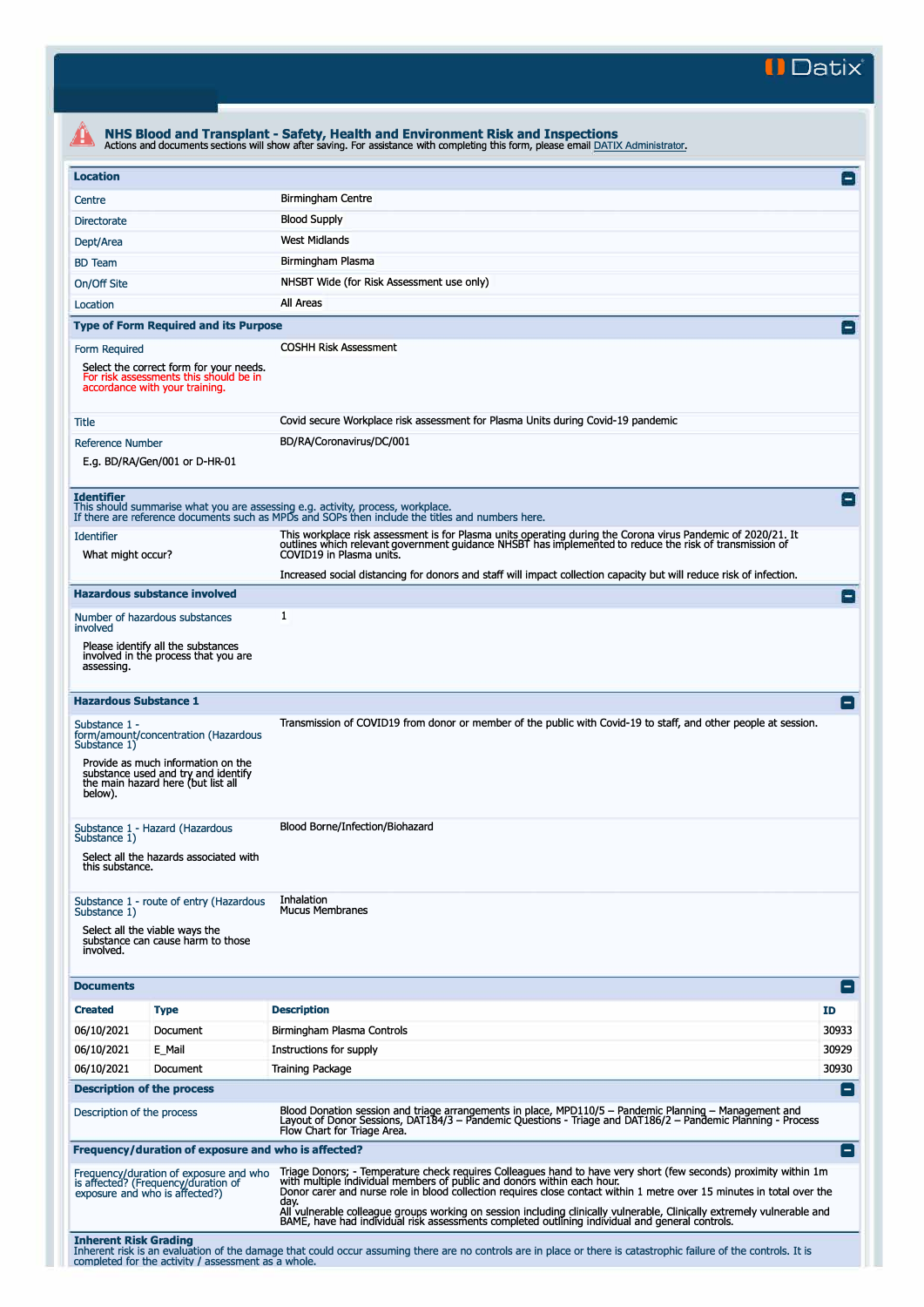**II Datix"** 

| <b>Location</b>                                                                                            |                                                                                                                     |                                                                                                                                                                                                                                                                                                                                                                                                                                                          |                |  |  |  |  |
|------------------------------------------------------------------------------------------------------------|---------------------------------------------------------------------------------------------------------------------|----------------------------------------------------------------------------------------------------------------------------------------------------------------------------------------------------------------------------------------------------------------------------------------------------------------------------------------------------------------------------------------------------------------------------------------------------------|----------------|--|--|--|--|
| Centre                                                                                                     |                                                                                                                     | <b>Birmingham Centre</b>                                                                                                                                                                                                                                                                                                                                                                                                                                 |                |  |  |  |  |
| Directorate                                                                                                |                                                                                                                     | <b>Blood Supply</b>                                                                                                                                                                                                                                                                                                                                                                                                                                      |                |  |  |  |  |
| Dept/Area                                                                                                  |                                                                                                                     | <b>West Midlands</b>                                                                                                                                                                                                                                                                                                                                                                                                                                     |                |  |  |  |  |
| <b>BD</b> Team                                                                                             |                                                                                                                     | Birmingham Plasma                                                                                                                                                                                                                                                                                                                                                                                                                                        |                |  |  |  |  |
| On/Off Site                                                                                                |                                                                                                                     | NHSBT Wide (for Risk Assessment use only)                                                                                                                                                                                                                                                                                                                                                                                                                |                |  |  |  |  |
|                                                                                                            |                                                                                                                     | All Areas                                                                                                                                                                                                                                                                                                                                                                                                                                                |                |  |  |  |  |
| Location                                                                                                   |                                                                                                                     |                                                                                                                                                                                                                                                                                                                                                                                                                                                          |                |  |  |  |  |
|                                                                                                            | <b>Type of Form Required and its Purpose</b>                                                                        |                                                                                                                                                                                                                                                                                                                                                                                                                                                          |                |  |  |  |  |
| Form Required                                                                                              | Select the correct form for your needs.<br>For risk assessments this should be in<br>accordance with your training. | <b>COSHH Risk Assessment</b>                                                                                                                                                                                                                                                                                                                                                                                                                             |                |  |  |  |  |
| Tītle                                                                                                      |                                                                                                                     | Covid secure Workplace risk assessment for Plasma Units during Covid-19 pandemic                                                                                                                                                                                                                                                                                                                                                                         |                |  |  |  |  |
| <b>Reference Number</b>                                                                                    | E.g. BD/RA/Gen/001 or D-HR-01                                                                                       | BD/RA/Coronavirus/DC/001                                                                                                                                                                                                                                                                                                                                                                                                                                 |                |  |  |  |  |
| <b>Identifier</b>                                                                                          |                                                                                                                     | This should summarise what you are assessing e.g. activity, process, workplace.<br>If there are reference documents such as MPDs and SOPs then include the titles and numbers here.                                                                                                                                                                                                                                                                      |                |  |  |  |  |
| <b>Identifier</b><br>What might occur?                                                                     |                                                                                                                     | This workplace risk assessment is for Plasma units operating during the Corona virus Pandemic of 2020/21. It<br>outlines which relevant government guidance NHSBT has implemented to reduce the risk of transmission of<br>COVID19 in Plasma units.                                                                                                                                                                                                      |                |  |  |  |  |
|                                                                                                            |                                                                                                                     | Increased social distancing for donors and staff will impact collection capacity but will reduce risk of infection.                                                                                                                                                                                                                                                                                                                                      |                |  |  |  |  |
|                                                                                                            | <b>Hazardous substance involved</b>                                                                                 |                                                                                                                                                                                                                                                                                                                                                                                                                                                          | $\overline{ }$ |  |  |  |  |
| involved                                                                                                   | Number of hazardous substances                                                                                      | 1                                                                                                                                                                                                                                                                                                                                                                                                                                                        |                |  |  |  |  |
| assessing.                                                                                                 | Please identify all the substances<br>involved in the process that you are                                          |                                                                                                                                                                                                                                                                                                                                                                                                                                                          |                |  |  |  |  |
| <b>Hazardous Substance 1</b>                                                                               |                                                                                                                     |                                                                                                                                                                                                                                                                                                                                                                                                                                                          | E              |  |  |  |  |
| Substance 1 -<br>Substance 1)                                                                              | form/amount/concentration (Hazardous                                                                                | Transmission of COVID19 from donor or member of the public with Covid-19 to staff, and other people at session.                                                                                                                                                                                                                                                                                                                                          |                |  |  |  |  |
| below).                                                                                                    | Provide as much information on the<br>substance used and try and identify<br>the main hazard here (but list all     |                                                                                                                                                                                                                                                                                                                                                                                                                                                          |                |  |  |  |  |
|                                                                                                            | Substance 1 - Hazard (Hazardous                                                                                     | Blood Borne/Infection/Biohazard                                                                                                                                                                                                                                                                                                                                                                                                                          |                |  |  |  |  |
| Substance 1)<br>this substance.                                                                            | Select all the hazards associated with                                                                              |                                                                                                                                                                                                                                                                                                                                                                                                                                                          |                |  |  |  |  |
|                                                                                                            | Substance 1 - route of entry (Hazardous                                                                             | Inhalation<br><b>Mucus Membranes</b>                                                                                                                                                                                                                                                                                                                                                                                                                     |                |  |  |  |  |
| Substance 1)                                                                                               | substance can cause harm to those                                                                                   |                                                                                                                                                                                                                                                                                                                                                                                                                                                          |                |  |  |  |  |
| Select all the viable ways the<br>involved.                                                                |                                                                                                                     |                                                                                                                                                                                                                                                                                                                                                                                                                                                          |                |  |  |  |  |
|                                                                                                            |                                                                                                                     |                                                                                                                                                                                                                                                                                                                                                                                                                                                          | E              |  |  |  |  |
|                                                                                                            | <b>Type</b>                                                                                                         | <b>Description</b>                                                                                                                                                                                                                                                                                                                                                                                                                                       | ID             |  |  |  |  |
|                                                                                                            | Document                                                                                                            | Birmingham Plasma Controls                                                                                                                                                                                                                                                                                                                                                                                                                               | 30933          |  |  |  |  |
|                                                                                                            | E_Mail                                                                                                              | Instructions for supply                                                                                                                                                                                                                                                                                                                                                                                                                                  | 30929          |  |  |  |  |
|                                                                                                            | Document                                                                                                            | <b>Training Package</b>                                                                                                                                                                                                                                                                                                                                                                                                                                  | 30930          |  |  |  |  |
|                                                                                                            | <b>Description of the process</b>                                                                                   |                                                                                                                                                                                                                                                                                                                                                                                                                                                          | E              |  |  |  |  |
|                                                                                                            |                                                                                                                     | Blood Donation session and triage arrangements in place, MPD110/5 - Pandemic Planning - Management and<br>Layout of Donor Sessions, DAT184/3 – Pandemic Questions - Triage and DAT186/2 – Pandemic Planning - Process<br>Flow Chart for Triage Area.                                                                                                                                                                                                     |                |  |  |  |  |
|                                                                                                            | Frequency/duration of exposure and who is affected?                                                                 |                                                                                                                                                                                                                                                                                                                                                                                                                                                          | Ξ              |  |  |  |  |
| <b>Documents</b><br><b>Created</b><br>06/10/2021<br>06/10/2021<br>06/10/2021<br>Description of the process | Frequency/duration of exposure and who<br>is affected? (Frequency/duration of<br>exposure and who is affected?)     | Triage Donors; - Temperature check requires Colleagues hand to have very short (few seconds) proximity within 1m<br>with multiple individual members of public and donors within each hour.<br>Donor carer and nurse role in blood collection requires close contact within 1 metre over 15 minutes in total over the<br>day.<br>All'vulnerable colleague groups working on session including clinically vulnerable, Clinically extremely vulnerable and |                |  |  |  |  |